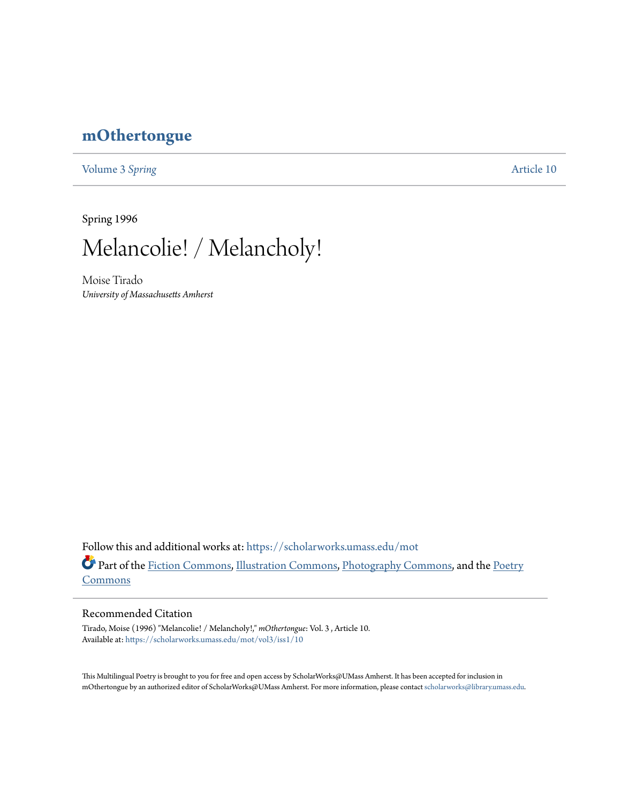## **[mOthertongue](https://scholarworks.umass.edu/mot?utm_source=scholarworks.umass.edu%2Fmot%2Fvol3%2Fiss1%2F10&utm_medium=PDF&utm_campaign=PDFCoverPages)**

[Volume 3](https://scholarworks.umass.edu/mot/vol3?utm_source=scholarworks.umass.edu%2Fmot%2Fvol3%2Fiss1%2F10&utm_medium=PDF&utm_campaign=PDFCoverPages) Spring **[Article 10](https://scholarworks.umass.edu/mot/vol3/iss1/10?utm_source=scholarworks.umass.edu%2Fmot%2Fvol3%2Fiss1%2F10&utm_medium=PDF&utm_campaign=PDFCoverPages)** 

Spring 1996



Moise Tirado *University of Massachusetts Amherst*

Follow this and additional works at: [https://scholarworks.umass.edu/mot](https://scholarworks.umass.edu/mot?utm_source=scholarworks.umass.edu%2Fmot%2Fvol3%2Fiss1%2F10&utm_medium=PDF&utm_campaign=PDFCoverPages) Part of the [Fiction Commons](http://network.bepress.com/hgg/discipline/1151?utm_source=scholarworks.umass.edu%2Fmot%2Fvol3%2Fiss1%2F10&utm_medium=PDF&utm_campaign=PDFCoverPages), [Illustration Commons,](http://network.bepress.com/hgg/discipline/1135?utm_source=scholarworks.umass.edu%2Fmot%2Fvol3%2Fiss1%2F10&utm_medium=PDF&utm_campaign=PDFCoverPages) [Photography Commons,](http://network.bepress.com/hgg/discipline/1142?utm_source=scholarworks.umass.edu%2Fmot%2Fvol3%2Fiss1%2F10&utm_medium=PDF&utm_campaign=PDFCoverPages) and the [Poetry](http://network.bepress.com/hgg/discipline/1153?utm_source=scholarworks.umass.edu%2Fmot%2Fvol3%2Fiss1%2F10&utm_medium=PDF&utm_campaign=PDFCoverPages) **[Commons](http://network.bepress.com/hgg/discipline/1153?utm_source=scholarworks.umass.edu%2Fmot%2Fvol3%2Fiss1%2F10&utm_medium=PDF&utm_campaign=PDFCoverPages)** 

## Recommended Citation

Tirado, Moise (1996) "Melancolie! / Melancholy!," *mOthertongue*: Vol. 3 , Article 10. Available at: [https://scholarworks.umass.edu/mot/vol3/iss1/10](https://scholarworks.umass.edu/mot/vol3/iss1/10?utm_source=scholarworks.umass.edu%2Fmot%2Fvol3%2Fiss1%2F10&utm_medium=PDF&utm_campaign=PDFCoverPages)

This Multilingual Poetry is brought to you for free and open access by ScholarWorks@UMass Amherst. It has been accepted for inclusion in mOthertongue by an authorized editor of ScholarWorks@UMass Amherst. For more information, please contact [scholarworks@library.umass.edu](mailto:scholarworks@library.umass.edu).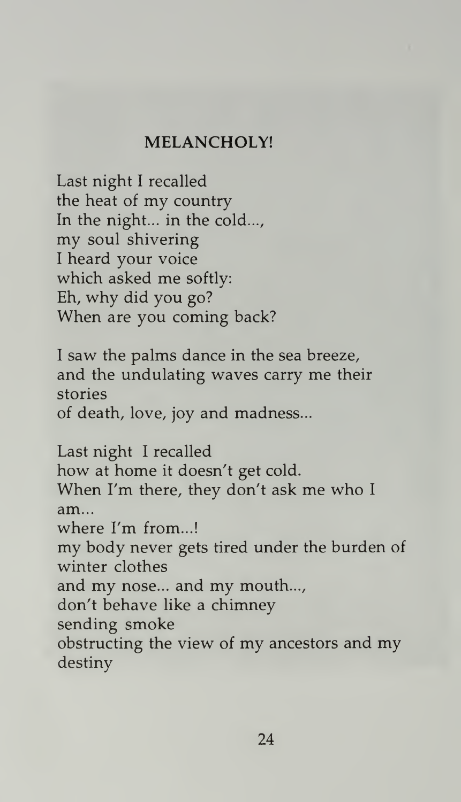## MELANCHOLY!

Last night <sup>I</sup> recalled the heat of my country In the night... in the cold..., my soul shivering <sup>I</sup> heard your voice which asked me softly: Eh, why did you go? When are you coming back?

<sup>I</sup> saw the palms dance in the sea breeze, and the undulating waves carry me their stories of death, love, joy and madness...

Last night <sup>I</sup> recalled how at home it doesn't get cold. When I'm there, they don't ask me who <sup>I</sup> am... where I'm from...! my body never gets tired under the burden of winter clothes and my nose... and my mouth..., don't behave like a chimney sending smoke obstructing the view of my ancestors and my destiny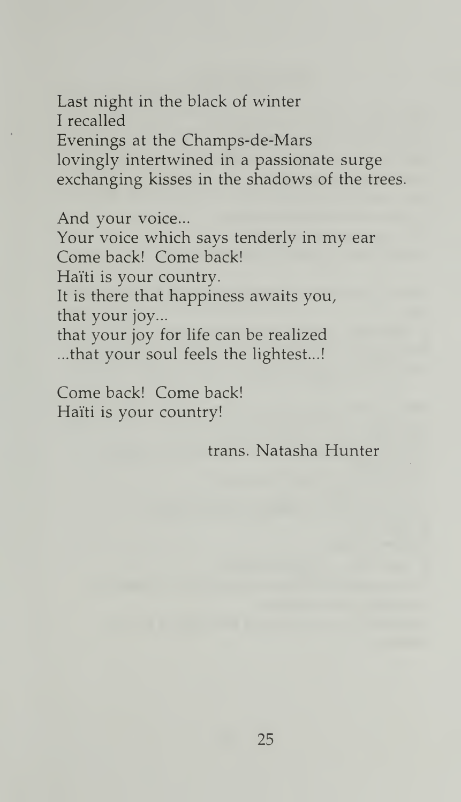Last night in the black of winter <sup>I</sup> recalled Evenings at the Champs-de-Mars lovingly intertwined in a passionate surge exchanging kisses in the shadows of the trees.

And your voice... Your voice which says tenderly in my ear Come back! Come back! Haiti is your country. It is there that happiness awaits you, that your joy... that your joy for life can be realized ...that your soul feels the lightest...!

Come back! Come back! Haiti is your country!

trans. Natasha Hunter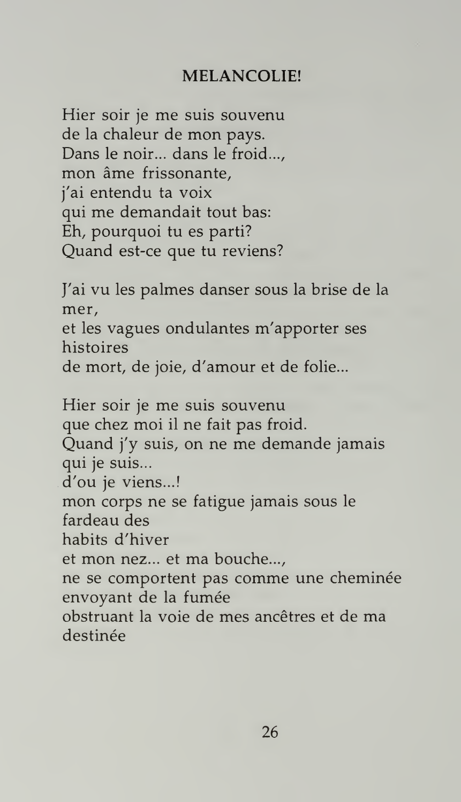## MELANCOLIE!

Hier soir je me suis souvenu de la chaleur de mon pays. Dans le noir... dans le froid..., mon ame frissonante, j'ai entendu ta voix qui me demandait tout bas: Eh, pourquoi tu es parti? Quand est-ce que tu reviens?

J'ai vu les palmes danser sous la brise de la mer, et les vagues ondulantes m'apporter ses histoires de mort, de joie, d'amour et de folie...

Hier soir je me suis souvenu que chez moi il ne fait pas froid. Quand j'y suis, on ne me demande jamais qui je suis... d'ou je viens...! mon corps ne se fatigue jamais sous le fardeau des habits d'hiver et mon nez... et ma bouche..., ne se comportent pas comme une cheminée envoyant de la fumée obstruant la voie de mes ancetres et de ma destinée